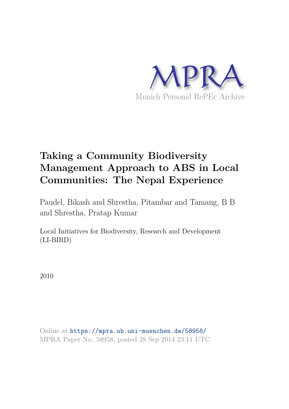

# **Taking a Community Biodiversity Management Approach to ABS in Local Communities: The Nepal Experience**

Paudel, Bikash and Shrestha, Pitambar and Tamang, B B and Shrestha, Pratap Kumar

Local Initiatives for Biodiversity, Research and Development (LI-BIRD)

2010

Online at https://mpra.ub.uni-muenchen.de/58958/ MPRA Paper No. 58958, posted 28 Sep 2014 23:11 UTC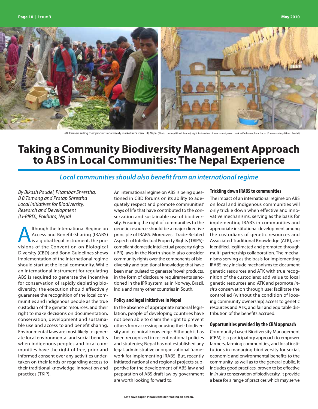

left: Farmers selling their products at a weekly market in Eastern Hill, Nepal (Photo courtesy Bikash Paudel); right: Inside view of a community seed bank in Kachorwa, Bara, Nepal (Photo courtesy Bikash Paudel)

# **Taking a Community Biodiversity Management Approach to ABS in Local Communities: The Nepal Experience**

## **Local communities should also benefit from an international regime**

By Bikash Paudel, Pitambar Shrestha, B B Tamang and Pratap Shrestha Local Initiatives for Biodiversity, Research and Development (LI-BIRD), Pokhara, Nepal

Ithough the International Regime on<br>Access and Benefit-Sharing (IRABS)<br>is a global legal instrument, the pro-<br>visions of the Convention on Biological lthough the International Regime on Access and Benefit-Sharing (IRABS) is a global legal instrument, the pro-Diversity (CBD) and Bonn Guidelines shows implementation of the international regime should start at the local community. While an international instrument for regulating ABS is required to generate the incentive for conservation of rapidly depleting biodiversity, the execution should effectively guarantee the recognition of the local communities and indigenous people as the true custodian of the genetic resources, and their right to make decisions on documentation, conservation, development and sustainable use and access to and benefit sharing. Environmental laws are most likely to generate local environmental and social benefits when indigenous peoples and local communities have the right of free, prior and informed consent over any activities undertaken on their lands or regarding access to their traditional knowledge, innovation and practices (TKIP).

An international regime on ABS is being questioned in CBD forums on its ability to adequately respect and promote communities' ways of life that have contributed to the conservation and sustainable use of biodiversity. Ensuring the right of communities to the genetic resource should be a major directive principle of IRABS. Moreover, Trade-Related Aspects of Intellectual Property Rights (TRIPS) compliant domestic intellectual property rights (IPR) laws in the North should also consider community rights over the components of biodiversity and traditional knowledge that have been manipulated to generate 'novel' products, in the form of disclosure requirements sanctioned in the IPR system; as in Norway, Brazil, India and many other countries in South.

### **Policy and legal initiatives in Nepal**

In the absence of appropriate national legislation, people of developing countries have not been able to claim the right to prevent others from accessing or using their biodiversity and technical knowledge. Although it has been recognized in recent national policies and strategies; Nepal has not established any legal, administrative or organizational framework for implementing IRABS. But, recently initiated national and regional projects supportive for the development of ABS law and preparation of ABS draft law by government are worth looking forward to.

#### **Trickling down IRABS to communities**

The impact of an international regime on ABS on local and indigenous communities will only trickle down when effective and innovative mechanisms, serving as the basis for implementing IRABS in communities and appropriate institutional development among the custodians of genetic resources and Associated Traditional Knowledge (ATK), are identified, legitimated and promoted through multi-partnership collaboration. The mechanisms serving as the basis for implementing IRABS may include mechanisms to: document genetic resources and ATK with true recognition of the custodians; add value to local genetic resources and ATK and promote insitu conservation through use; facilitate the controlled (without the condition of loosing community ownership) access to genetic resources and ATK; and fair and equitable distribution of the benefits accrued.

### **Opportunities provided by the CBM approach**

Community-based Biodiversity Management (CBM) is a participatory approach to empower farmers, farming communities, and local institutions in managing biodiversity for social, economic and environmental benefits to the community, as well as to the general public. It includes good practices, proven to be effective in in-situ conservation of biodiversity, it provide a base for a range of practices which may serve